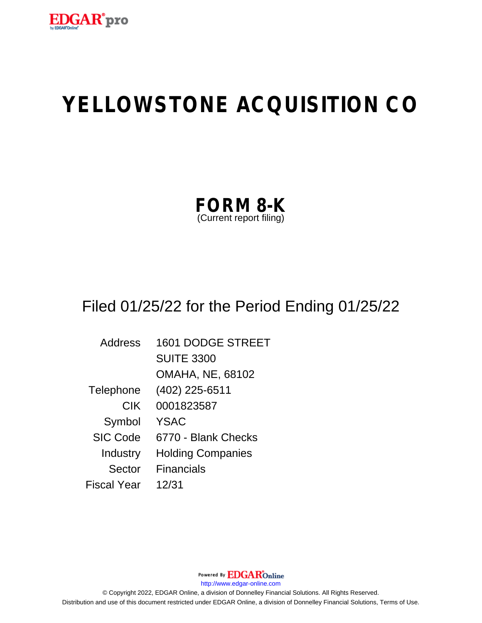

# **YELLOWSTONE ACQUISITION CO**

| <b>FORM 8-K</b>         |  |
|-------------------------|--|
| (Current report filing) |  |

# Filed 01/25/22 for the Period Ending 01/25/22

Address 1601 DODGE STREET SUITE 3300 OMAHA, NE, 68102 Telephone (402) 225-6511 CIK 0001823587 Symbol YSAC SIC Code 6770 - Blank Checks Industry Holding Companies Sector Financials Fiscal Year 12/31

Powered By **EDGAR**Online http://www.edgar-online.com © Copyright 2022, EDGAR Online, a division of Donnelley Financial Solutions. All Rights Reserved. Distribution and use of this document restricted under EDGAR Online, a division of Donnelley Financial Solutions, Terms of Use.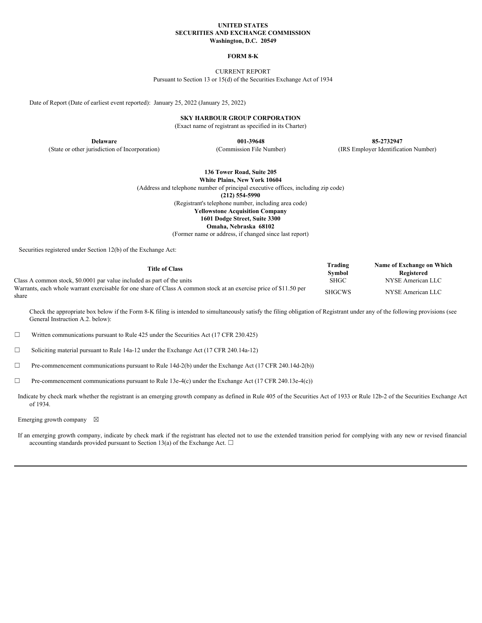#### **UNITED STATES SECURITIES AND EXCHANGE COMMISSION Washington, D.C. 20549**

#### **FORM 8-K**

CURRENT REPORT Pursuant to Section 13 or 15(d) of the Securities Exchange Act of 1934

Date of Report (Date of earliest event reported): January 25, 2022 (January 25, 2022)

#### **SKY HARBOUR GROUP CORPORATION**

(Exact name of registrant as specified in its Charter)

**Delaware 001-39648 85-2732947** (State or other jurisdiction of Incorporation) (Commission File Number) (IRS Employer Identification Number)

**136 Tower Road, Suite 205**

**White Plains, New York 10604** (Address and telephone number of principal executive offices, including zip code) **(212) 554-5990** (Registrant's telephone number, including area code) **Yellowstone Acquisition Company 1601 Dodge Street, Suite 3300 Omaha, Nebraska 68102**

(Former name or address, if changed since last report)

Securities registered under Section 12(b) of the Exchange Act:

| <b>Title of Class</b>                                                                                                       |               | Name of Exchange on Which |
|-----------------------------------------------------------------------------------------------------------------------------|---------------|---------------------------|
|                                                                                                                             | Symbol        | Registered                |
| Class A common stock, \$0,0001 par value included as part of the units                                                      | SHGC          | NYSE American LLC         |
| Warrants, each whole warrant exercisable for one share of Class A common stock at an exercise price of \$11.50 per<br>share | <b>SHGCWS</b> | NYSE American LLC         |

Check the appropriate box below if the Form 8-K filing is intended to simultaneously satisfy the filing obligation of Registrant under any of the following provisions (see General Instruction A.2. below):

 $\Box$  Written communications pursuant to Rule 425 under the Securities Act (17 CFR 230.425)

☐ Soliciting material pursuant to Rule 14a-12 under the Exchange Act (17 CFR 240.14a-12)

 $\Box$  Pre-commencement communications pursuant to Rule 14d-2(b) under the Exchange Act (17 CFR 240.14d-2(b))

☐ Pre-commencement communications pursuant to Rule 13e-4(c) under the Exchange Act (17 CFR 240.13e-4(c))

Indicate by check mark whether the registrant is an emerging growth company as defined in Rule 405 of the Securities Act of 1933 or Rule 12b-2 of the Securities Exchange Act of 1934.

Emerging growth company  $\boxtimes$ 

If an emerging growth company, indicate by check mark if the registrant has elected not to use the extended transition period for complying with any new or revised financial accounting standards provided pursuant to Section 13(a) of the Exchange Act.  $\Box$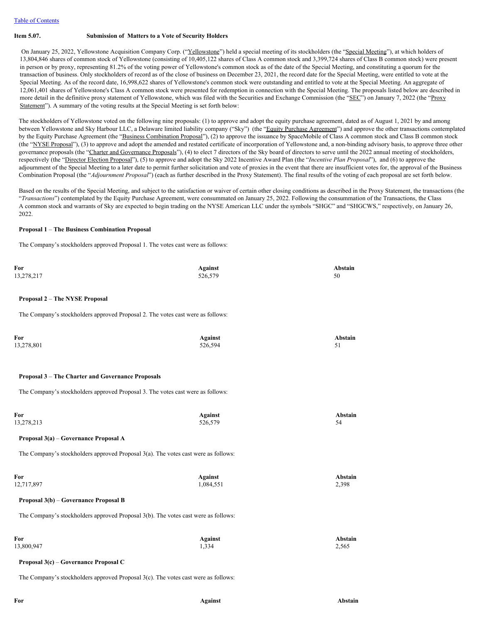#### **Item 5.07. Submission of Matters to a Vote of Security Holders**

On January 25, 2022, Yellowstone Acquisition Company Corp. ("Yellowstone") held a special meeting of its stockholders (the "Special Meeting"), at which holders of 13,804,846 shares of common stock of Yellowstone (consisting of 10,405,122 shares of Class A common stock and 3,399,724 shares of Class B common stock) were present in person or by proxy, representing 81.2% of the voting power of Yellowstone's common stock as of the date of the Special Meeting, and constituting a quorum for the transaction of business. Only stockholders of record as of the close of business on December 23, 2021, the record date for the Special Meeting, were entitled to vote at the Special Meeting. As of the record date, 16,998,622 shares of Yellowstone's common stock were outstanding and entitled to vote at the Special Meeting. An aggregate of 12,061,401 shares of Yellowstone's Class A common stock were presented for redemption in connection with the Special Meeting. The proposals listed below are described in more detail in the definitive proxy statement of Yellowstone, which was filed with the Securities and Exchange Commission (the "SEC") on January 7, 2022 (the "Proxy Statement"). A summary of the voting results at the Special Meeting is set forth below:

The stockholders of Yellowstone voted on the following nine proposals: (1) to approve and adopt the equity purchase agreement, dated as of August 1, 2021 by and among between Yellowstone and Sky Harbour LLC, a Delaware limited liability company ("Sky") (the "Equity Purchase Agreement") and approve the other transactions contemplated by the Equity Purchase Agreement (the "Business Combination Proposal"), (2) to approve the issuance by SpaceMobile of Class A common stock and Class B common stock (the "NYSE Proposal"), (3) to approve and adopt the amended and restated certificate of incorporation of Yellowstone and, a non-binding advisory basis, to approve three other governance proposals (the "Charter and Governance Proposals"), (4) to elect 7 directors of the Sky board of directors to serve until the 2022 annual meeting of stockholders, respectively (the "Director Election Proposal"), (5) to approve and adopt the Sky 2022 Incentive Award Plan (the "*Incentive Plan Proposal*"), and (6) to approve the adjournment of the Special Meeting to a later date to permit further solicitation and vote of proxies in the event that there are insufficient votes for, the approval of the Business Combination Proposal (the "*Adjournment Proposal*") (each as further described in the Proxy Statement). The final results of the voting of each proposal are set forth below.

Based on the results of the Special Meeting, and subject to the satisfaction or waiver of certain other closing conditions as described in the Proxy Statement, the transactions (the "*Transactions*") contemplated by the Equity Purchase Agreement, were consummated on January 25, 2022. Following the consummation of the Transactions, the Class A common stock and warrants of Sky are expected to begin trading on the NYSE American LLC under the symbols "SHGC" and "SHGCWS," respectively, on January 26, 2022.

#### **Proposal 1** – **The Business Combination Proposal**

The Company's stockholders approved Proposal 1. The votes cast were as follows:

| <b>Against</b>                                                                        | Abstain                                                                                                                                                                                                                                                                                                                                                                                                                                                                         |                                           |  |  |  |
|---------------------------------------------------------------------------------------|---------------------------------------------------------------------------------------------------------------------------------------------------------------------------------------------------------------------------------------------------------------------------------------------------------------------------------------------------------------------------------------------------------------------------------------------------------------------------------|-------------------------------------------|--|--|--|
|                                                                                       |                                                                                                                                                                                                                                                                                                                                                                                                                                                                                 |                                           |  |  |  |
|                                                                                       |                                                                                                                                                                                                                                                                                                                                                                                                                                                                                 |                                           |  |  |  |
|                                                                                       |                                                                                                                                                                                                                                                                                                                                                                                                                                                                                 |                                           |  |  |  |
|                                                                                       |                                                                                                                                                                                                                                                                                                                                                                                                                                                                                 |                                           |  |  |  |
| <b>Against</b>                                                                        | Abstain                                                                                                                                                                                                                                                                                                                                                                                                                                                                         |                                           |  |  |  |
| 526,579                                                                               | 54                                                                                                                                                                                                                                                                                                                                                                                                                                                                              |                                           |  |  |  |
|                                                                                       |                                                                                                                                                                                                                                                                                                                                                                                                                                                                                 |                                           |  |  |  |
|                                                                                       |                                                                                                                                                                                                                                                                                                                                                                                                                                                                                 |                                           |  |  |  |
|                                                                                       |                                                                                                                                                                                                                                                                                                                                                                                                                                                                                 |                                           |  |  |  |
| 1,084,551                                                                             | 2,398                                                                                                                                                                                                                                                                                                                                                                                                                                                                           |                                           |  |  |  |
|                                                                                       |                                                                                                                                                                                                                                                                                                                                                                                                                                                                                 |                                           |  |  |  |
|                                                                                       |                                                                                                                                                                                                                                                                                                                                                                                                                                                                                 |                                           |  |  |  |
|                                                                                       |                                                                                                                                                                                                                                                                                                                                                                                                                                                                                 |                                           |  |  |  |
| 1,334                                                                                 | 2,565                                                                                                                                                                                                                                                                                                                                                                                                                                                                           |                                           |  |  |  |
| Proposal 3(c) – Governance Proposal C                                                 |                                                                                                                                                                                                                                                                                                                                                                                                                                                                                 |                                           |  |  |  |
| The Company's stockholders approved Proposal $3(c)$ . The votes cast were as follows: |                                                                                                                                                                                                                                                                                                                                                                                                                                                                                 |                                           |  |  |  |
|                                                                                       | <b>Against</b><br>526,579<br>The Company's stockholders approved Proposal 2. The votes cast were as follows:<br>526,594<br>Proposal 3 - The Charter and Governance Proposals<br>The Company's stockholders approved Proposal 3. The votes cast were as follows:<br>The Company's stockholders approved Proposal 3(a). The votes cast were as follows:<br><b>Against</b><br>The Company's stockholders approved Proposal 3(b). The votes cast were as follows:<br><b>Against</b> | Abstain<br>50<br>51<br>Abstain<br>Abstain |  |  |  |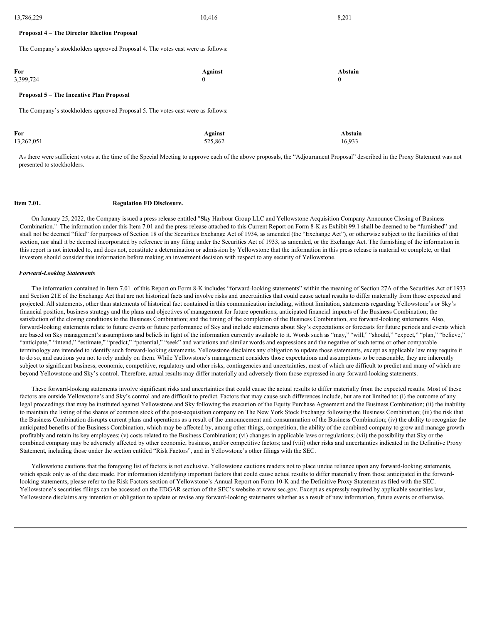#### **Proposal 4** – **The Director Election Proposal**

The Company's stockholders approved Proposal 4. The votes cast were as follows:

| For       | <b>Against</b><br>$\sim$ | Abstain |
|-----------|--------------------------|---------|
| 3,399,724 |                          |         |

#### **Proposal 5** – **The Incentive Plan Proposal**

The Company's stockholders approved Proposal 5. The votes cast were as follows:

| For        | Against | Abstain |
|------------|---------|---------|
| 13,262,051 | 525,862 | 16,933  |

As there were sufficient votes at the time of the Special Meeting to approve each of the above proposals, the "Adjournment Proposal" described in the Proxy Statement was not presented to stockholders.

#### **Item 7.01. Regulation FD Disclosure.**

On January 25, 2022, the Company issued a press release entitled "**Sky** Harbour Group LLC and Yellowstone Acquisition Company Announce Closing of Business Combination." The information under this Item 7.01 and the press release attached to this Current Report on Form 8-K as Exhibit 99.1 shall be deemed to be "furnished" and shall not be deemed "filed" for purposes of Section 18 of the Securities Exchange Act of 1934, as amended (the "Exchange Act"), or otherwise subject to the liabilities of that section, nor shall it be deemed incorporated by reference in any filing under the Securities Act of 1933, as amended, or the Exchange Act. The furnishing of the information in this report is not intended to, and does not, constitute a determination or admission by Yellowstone that the information in this press release is material or complete, or that investors should consider this information before making an investment decision with respect to any security of Yellowstone.

#### *Forward-Looking Statements*

The information contained in Item 7.01 of this Report on Form 8-K includes "forward-looking statements" within the meaning of Section 27A of the Securities Act of 1933 and Section 21E of the Exchange Act that are not historical facts and involve risks and uncertainties that could cause actual results to differ materially from those expected and projected. All statements, other than statements of historical fact contained in this communication including, without limitation, statements regarding Yellowstone's or Sky's financial position, business strategy and the plans and objectives of management for future operations; anticipated financial impacts of the Business Combination; the satisfaction of the closing conditions to the Business Combination; and the timing of the completion of the Business Combination, are forward-looking statements. Also, forward-looking statements relate to future events or future performance of Sky and include statements about Sky's expectations or forecasts for future periods and events which are based on Sky management's assumptions and beliefs in light of the information currently available to it. Words such as "may," "will," "should," "expect," "plan," "believe," "anticipate," "intend," "estimate," "predict," "potential," "seek" and variations and similar words and expressions and the negative of such terms or other comparable terminology are intended to identify such forward-looking statements. Yellowstone disclaims any obligation to update those statements, except as applicable law may require it to do so, and cautions you not to rely unduly on them. While Yellowstone's management considers those expectations and assumptions to be reasonable, they are inherently subject to significant business, economic, competitive, regulatory and other risks, contingencies and uncertainties, most of which are difficult to predict and many of which are beyond Yellowstone and Sky's control. Therefore, actual results may differ materially and adversely from those expressed in any forward-looking statements.

These forward-looking statements involve significant risks and uncertainties that could cause the actual results to differ materially from the expected results. Most of these factors are outside Yellowstone's and Sky's control and are difficult to predict. Factors that may cause such differences include, but are not limited to: (i) the outcome of any legal proceedings that may be instituted against Yellowstone and Sky following the execution of the Equity Purchase Agreement and the Business Combination; (ii) the inability to maintain the listing of the shares of common stock of the post-acquisition company on The New York Stock Exchange following the Business Combination; (iii) the risk that the Business Combination disrupts current plans and operations as a result of the announcement and consummation of the Business Combination; (iv) the ability to recognize the anticipated benefits of the Business Combination, which may be affected by, among other things, competition, the ability of the combined company to grow and manage growth profitably and retain its key employees; (v) costs related to the Business Combination; (vi) changes in applicable laws or regulations; (vii) the possibility that Sky or the combined company may be adversely affected by other economic, business, and/or competitive factors; and (viii) other risks and uncertainties indicated in the Definitive Proxy Statement, including those under the section entitled "Risk Factors", and in Yellowstone's other filings with the SEC.

Yellowstone cautions that the foregoing list of factors is not exclusive. Yellowstone cautions readers not to place undue reliance upon any forward-looking statements, which speak only as of the date made. For information identifying important factors that could cause actual results to differ materially from those anticipated in the forwardlooking statements, please refer to the Risk Factors section of Yellowstone's Annual Report on Form 10-K and the Definitive Proxy Statement as filed with the SEC. Yellowstone's securities filings can be accessed on the EDGAR section of the SEC's website at www.sec.gov. Except as expressly required by applicable securities law, Yellowstone disclaims any intention or obligation to update or revise any forward-looking statements whether as a result of new information, future events or otherwise.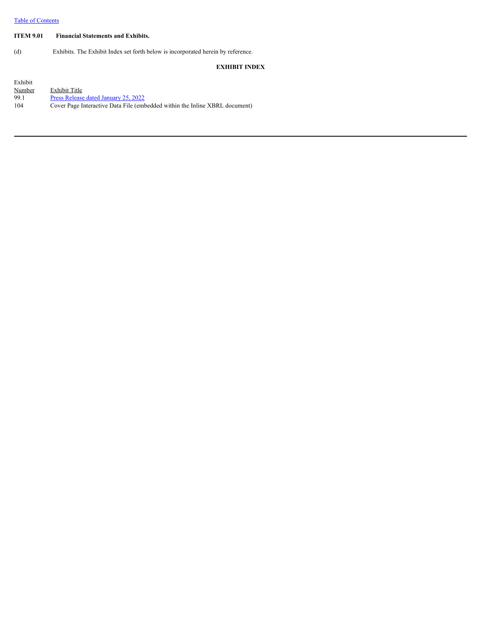### **ITEM 9.01 Financial Statements and Exhibits.**

(d) Exhibits. The Exhibit Index set forth below is incorporated herein by reference.

#### **EXHIBIT INDEX**

Exhibit Number Exhibit Title<br>99.1 Press Release [Press Release dated January 25, 2022](#page-6-0) 104 Cover Page Interactive Data File (embedded within the Inline XBRL document)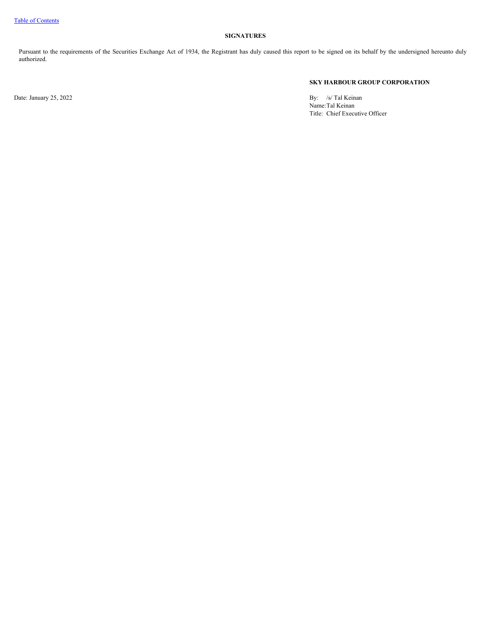#### **SIGNATURES**

Pursuant to the requirements of the Securities Exchange Act of 1934, the Registrant has duly caused this report to be signed on its behalf by the undersigned hereunto duly authorized.

**SKY HARBOUR GROUP CORPORATION**

Date: January 25, 2022 By: /s/ Tal Keinan Name:Tal Keinan Title: Chief Executive Officer